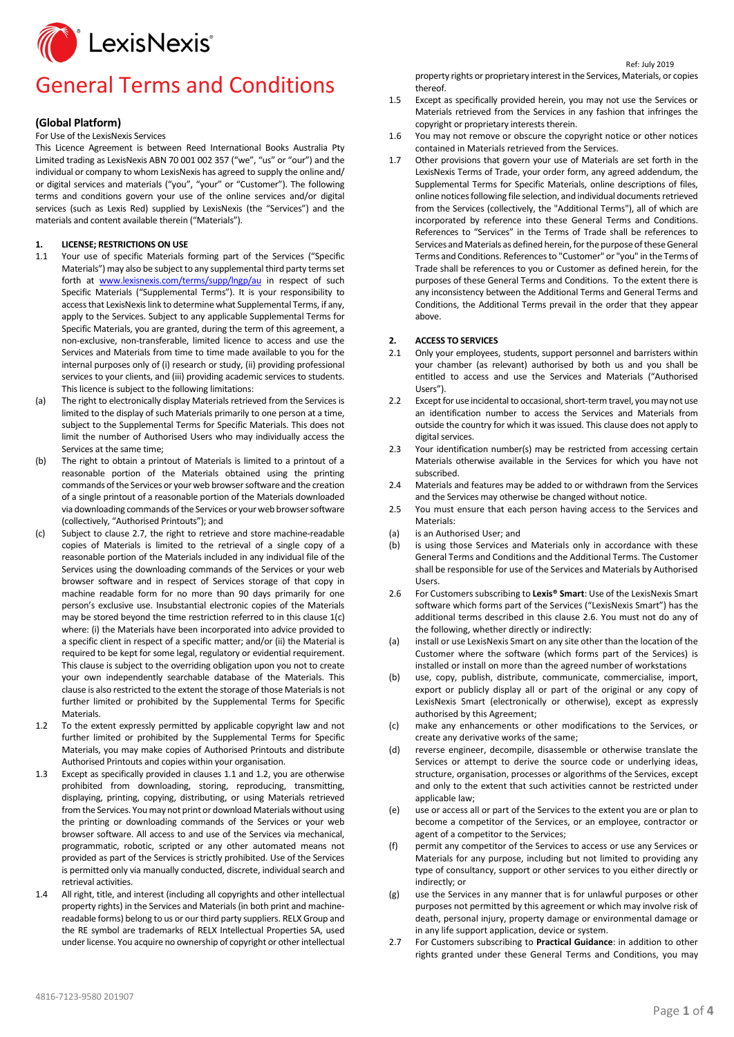

## General Terms and Conditions

## **(Global Platform)**

For Use of the LexisNexis Services

This Licence Agreement is between Reed International Books Australia Pty Limited trading as LexisNexis ABN 70 001 002 357 ("we", "us" or "our") and the individual or company to whom LexisNexis has agreed to supply the online and/ or digital services and materials ("you", "your" or "Customer"). The following terms and conditions govern your use of the online services and/or digital services (such as Lexis Red) supplied by LexisNexis (the "Services") and the materials and content available therein ("Materials").

**1. LICENSE; RESTRICTIONS ON USE**<br>11 Your use of specific Materials 1

- Your use of specific Materials forming part of the Services ("Specific Materials") may also be subject to any supplemental third party terms set forth at [www.lexisnexis.com/terms/supp/lngp/au](http://www.lexisnexis.com/terms/supp/lngp/au) in respect of such Specific Materials ("Supplemental Terms"). It is your responsibility to access that LexisNexis link to determine what Supplemental Terms, if any, apply to the Services. Subject to any applicable Supplemental Terms for Specific Materials, you are granted, during the term of this agreement, a non-exclusive, non-transferable, limited licence to access and use the Services and Materials from time to time made available to you for the internal purposes only of (i) research or study, (ii) providing professional services to your clients, and (iii) providing academic services to students. This licence is subject to the following limitations:
- (a) The right to electronically display Materials retrieved from the Services is limited to the display of such Materials primarily to one person at a time, subject to the Supplemental Terms for Specific Materials. This does not limit the number of Authorised Users who may individually access the Services at the same time;
- (b) The right to obtain a printout of Materials is limited to a printout of a reasonable portion of the Materials obtained using the printing commands of the Services or your web browser software and the creation of a single printout of a reasonable portion of the Materials downloaded via downloading commands of the Services or your web browser software (collectively, "Authorised Printouts"); and
- (c) Subject to clause 2.7, the right to retrieve and store machine-readable copies of Materials is limited to the retrieval of a single copy of a reasonable portion of the Materials included in any individual file of the Services using the downloading commands of the Services or your web browser software and in respect of Services storage of that copy in machine readable form for no more than 90 days primarily for one person's exclusive use. Insubstantial electronic copies of the Materials may be stored beyond the time restriction referred to in this clause 1(c) where: (i) the Materials have been incorporated into advice provided to a specific client in respect of a specific matter; and/or (ii) the Material is required to be kept for some legal, regulatory or evidential requirement. This clause is subject to the overriding obligation upon you not to create your own independently searchable database of the Materials. This clause is also restricted to the extent the storage of those Materials is not further limited or prohibited by the Supplemental Terms for Specific **Materials**
- 1.2 To the extent expressly permitted by applicable copyright law and not further limited or prohibited by the Supplemental Terms for Specific Materials, you may make copies of Authorised Printouts and distribute Authorised Printouts and copies within your organisation.
- 1.3 Except as specifically provided in clauses 1.1 and 1.2, you are otherwise prohibited from downloading, storing, reproducing, transmitting, displaying, printing, copying, distributing, or using Materials retrieved from the Services. You may not print or download Materials without using the printing or downloading commands of the Services or your web browser software. All access to and use of the Services via mechanical, programmatic, robotic, scripted or any other automated means not provided as part of the Services is strictly prohibited. Use of the Services is permitted only via manually conducted, discrete, individual search and retrieval activities.
- 1.4 All right, title, and interest (including all copyrights and other intellectual property rights) in the Services and Materials (in both print and machinereadable forms) belong to us or our third party suppliers. RELX Group and the RE symbol are trademarks of RELX Intellectual Properties SA, used under license. You acquire no ownership of copyright or other intellectual

property rights or proprietary interest in the Services, Materials, or copies thereof.

Ref: July <sup>2019</sup>

- 1.5 Except as specifically provided herein, you may not use the Services or Materials retrieved from the Services in any fashion that infringes the copyright or proprietary interests therein.
- 1.6 You may not remove or obscure the copyright notice or other notices contained in Materials retrieved from the Services.
- 1.7 Other provisions that govern your use of Materials are set forth in the LexisNexis Terms of Trade, your order form, any agreed addendum, the Supplemental Terms for Specific Materials, online descriptions of files, online notices following file selection, and individual documents retrieved from the Services (collectively, the "Additional Terms"), all of which are incorporated by reference into these General Terms and Conditions. References to "Services" in the Terms of Trade shall be references to Services and Materials as defined herein, for the purpose of these General Terms and Conditions. References to "Customer" or "you" in the Terms of Trade shall be references to you or Customer as defined herein, for the purposes of these General Terms and Conditions. To the extent there is any inconsistency between the Additional Terms and General Terms and Conditions, the Additional Terms prevail in the order that they appear above.

## **2. ACCESS TO SERVICES**

- 2.1 Only your employees, students, support personnel and barristers within your chamber (as relevant) authorised by both us and you shall be entitled to access and use the Services and Materials ("Authorised Users").
- 2.2 Except for use incidental to occasional, short-term travel, youmay not use an identification number to access the Services and Materials from outside the country for which it was issued. This clause does not apply to digital services.
- 2.3 Your identification number(s) may be restricted from accessing certain Materials otherwise available in the Services for which you have not subscribed.
- 2.4 Materials and features may be added to or withdrawn from the Services and the Services may otherwise be changed without notice.
- 2.5 You must ensure that each person having access to the Services and Materials:
- (a) is an Authorised User; and
- (b) is using those Services and Materials only in accordance with these General Terms and Conditions and the Additional Terms. The Customer shall be responsible for use of the Services and Materials by Authorised Users.
- 2.6 For Customers subscribing to **Lexis® Smart**: Use of the LexisNexis Smart software which forms part of the Services ("LexisNexis Smart") has the additional terms described in this clause 2.6. You must not do any of the following, whether directly or indirectly:
- (a) install or use LexisNexis Smart on any site other than the location of the Customer where the software (which forms part of the Services) is installed or install on more than the agreed number of workstations
- (b) use, copy, publish, distribute, communicate, commercialise, import, export or publicly display all or part of the original or any copy of LexisNexis Smart (electronically or otherwise), except as expressly authorised by this Agreement;
- (c) make any enhancements or other modifications to the Services, or create any derivative works of the same;
- (d) reverse engineer, decompile, disassemble or otherwise translate the Services or attempt to derive the source code or underlying ideas, structure, organisation, processes or algorithms of the Services, except and only to the extent that such activities cannot be restricted under applicable law;
- (e) use or access all or part of the Services to the extent you are or plan to become a competitor of the Services, or an employee, contractor or agent of a competitor to the Services;
- (f) permit any competitor of the Services to access or use any Services or Materials for any purpose, including but not limited to providing any type of consultancy, support or other services to you either directly or indirectly; or
- (g) use the Services in any manner that is for unlawful purposes or other purposes not permitted by this agreement or which may involve risk of death, personal injury, property damage or environmental damage or in any life support application, device or system.
- 2.7 For Customers subscribing to **Practical Guidance**: in addition to other rights granted under these General Terms and Conditions, you may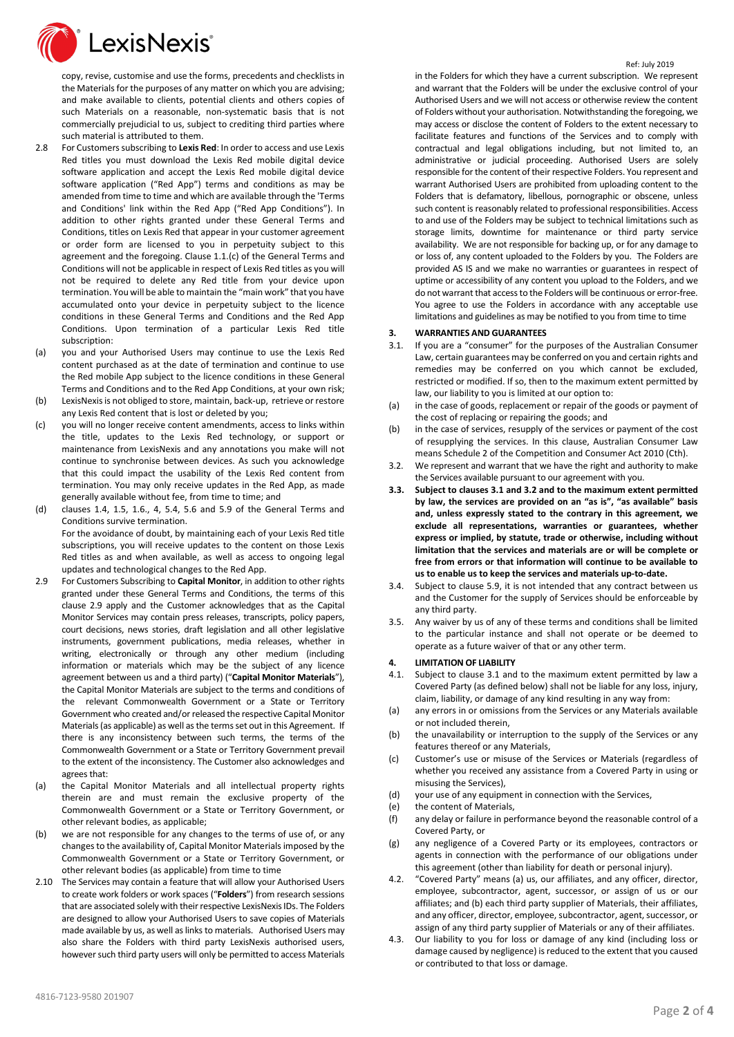

copy, revise, customise and use the forms, precedents and checklists in the Materials for the purposes of any matter on which you are advising; and make available to clients, potential clients and others copies of such Materials on a reasonable, non-systematic basis that is not commercially prejudicial to us, subject to crediting third parties where such material is attributed to them.

- 2.8 For Customers subscribing to **Lexis Red**: In order to access and use Lexis Red titles you must download the Lexis Red mobile digital device software application and accept the Lexis Red mobile digital device software application ("Red App") terms and conditions as may be amended from time to time and which are available through the 'Terms and Conditions' link within the Red App ("Red App Conditions"). In addition to other rights granted under these General Terms and Conditions, titles on Lexis Red that appear in your customer agreement or order form are licensed to you in perpetuity subject to this agreement and the foregoing. Clause 1.1.(c) of the General Terms and Conditions will not be applicable in respect of Lexis Red titles as you will not be required to delete any Red title from your device upon termination. You will be able to maintain the "main work" that you have accumulated onto your device in perpetuity subject to the licence conditions in these General Terms and Conditions and the Red App Conditions. Upon termination of a particular Lexis Red title subscription:
- (a) you and your Authorised Users may continue to use the Lexis Red content purchased as at the date of termination and continue to use the Red mobile App subject to the licence conditions in these General Terms and Conditions and to the Red App Conditions, at your own risk;
- (b) LexisNexis is not obliged to store, maintain, back-up, retrieve or restore any Lexis Red content that is lost or deleted by you;
- (c) you will no longer receive content amendments, access to links within the title, updates to the Lexis Red technology, or support or maintenance from LexisNexis and any annotations you make will not continue to synchronise between devices. As such you acknowledge that this could impact the usability of the Lexis Red content from termination. You may only receive updates in the Red App, as made generally available without fee, from time to time; and
- (d) clauses 1.4, 1.5, 1.6., 4, 5.4, 5.6 and 5.9 of the General Terms and Conditions survive termination. For the avoidance of doubt, by maintaining each of your Lexis Red title subscriptions, you will receive updates to the content on those Lexis Red titles as and when available, as well as access to ongoing legal updates and technological changes to the Red App.
- 2.9 For Customers Subscribing to **Capital Monitor**, in addition to other rights granted under these General Terms and Conditions, the terms of this clause 2.9 apply and the Customer acknowledges that as the Capital Monitor Services may contain press releases, transcripts, policy papers, court decisions, news stories, draft legislation and all other legislative instruments, government publications, media releases, whether in writing, electronically or through any other medium (including information or materials which may be the subject of any licence agreement between us and a third party) ("**Capital Monitor Materials**"), the Capital Monitor Materials are subject to the terms and conditions of the relevant Commonwealth Government or a State or Territory Government who created and/or released the respective Capital Monitor Materials(as applicable) as well as the terms set out in this Agreement. If there is any inconsistency between such terms, the terms of the Commonwealth Government or a State or Territory Government prevail to the extent of the inconsistency. The Customer also acknowledges and agrees that:
- (a) the Capital Monitor Materials and all intellectual property rights therein are and must remain the exclusive property of the Commonwealth Government or a State or Territory Government, or other relevant bodies, as applicable;
- (b) we are not responsible for any changes to the terms of use of, or any changes to the availability of, Capital Monitor Materials imposed by the Commonwealth Government or a State or Territory Government, or other relevant bodies (as applicable) from time to time
- 2.10 The Services may contain a feature that will allow your Authorised Users to create work folders or work spaces ("**Folders**") from research sessions that are associated solely with their respective LexisNexis IDs. The Folders are designed to allow your Authorised Users to save copies of Materials made available by us, as well as links to materials. Authorised Users may also share the Folders with third party LexisNexis authorised users, however such third party users will only be permitted to access Materials

Ref: July <sup>2019</sup>

in the Folders for which they have a current subscription. We represent and warrant that the Folders will be under the exclusive control of your Authorised Users and we will not access or otherwise review the content of Folders without your authorisation. Notwithstanding the foregoing, we may access or disclose the content of Folders to the extent necessary to facilitate features and functions of the Services and to comply with contractual and legal obligations including, but not limited to, an administrative or judicial proceeding. Authorised Users are solely responsible for the content of their respective Folders. You represent and warrant Authorised Users are prohibited from uploading content to the Folders that is defamatory, libellous, pornographic or obscene, unless such content is reasonably related to professional responsibilities. Access to and use of the Folders may be subject to technical limitations such as storage limits, downtime for maintenance or third party service availability. We are not responsible for backing up, or for any damage to or loss of, any content uploaded to the Folders by you. The Folders are provided AS IS and we make no warranties or guarantees in respect of uptime or accessibility of any content you upload to the Folders, and we do not warrant that access to the Folders will be continuous or error-free. You agree to use the Folders in accordance with any acceptable use limitations and guidelines as may be notified to you from time to time

## **3. WARRANTIES AND GUARANTEES**<br>**3.1.** If you are a "consumer" for the r

- If you are a "consumer" for the purposes of the Australian Consumer Law, certain guarantees may be conferred on you and certain rights and remedies may be conferred on you which cannot be excluded, restricted or modified. If so, then to the maximum extent permitted by law, our liability to you is limited at our option to:
- (a) in the case of goods, replacement or repair of the goods or payment of the cost of replacing or repairing the goods; and
- (b) in the case of services, resupply of the services or payment of the cost of resupplying the services. In this clause, Australian Consumer Law means Schedule 2 of the Competition and Consumer Act 2010 (Cth).
- 3.2. We represent and warrant that we have the right and authority to make the Services available pursuant to our agreement with you.
- **3.3. Subject to clauses 3.1 and 3.2 and to the maximum extent permitted by law, the services are provided on an "as is", "as available" basis and, unless expressly stated to the contrary in this agreement, we exclude all representations, warranties or guarantees, whether express or implied, by statute, trade or otherwise, including without limitation that the services and materials are or will be complete or free from errors or that information will continue to be available to us to enable us to keep the services and materials up-to-date.**
- 3.4. Subject to clause 5.9, it is not intended that any contract between us and the Customer for the supply of Services should be enforceable by any third party.
- 3.5. Any waiver by us of any of these terms and conditions shall be limited to the particular instance and shall not operate or be deemed to operate as a future waiver of that or any other term.

#### **4. LIMITATION OF LIABILITY**

- 4.1. Subject to clause 3.1 and to the maximum extent permitted by law a Covered Party (as defined below) shall not be liable for any loss, injury, claim, liability, or damage of any kind resulting in any way from:
- (a) any errors in or omissions from the Services or any Materials available or not included therein,
- (b) the unavailability or interruption to the supply of the Services or any features thereof or any Materials,
- (c) Customer's use or misuse of the Services or Materials (regardless of whether you received any assistance from a Covered Party in using or misusing the Services),
- (d) your use of any equipment in connection with the Services,
- (e) the content of Materials,
- (f) any delay or failure in performance beyond the reasonable control of a Covered Party, or
- (g) any negligence of a Covered Party or its employees, contractors or agents in connection with the performance of our obligations under this agreement (other than liability for death or personal injury).
- 4.2. "Covered Party" means (a) us, our affiliates, and any officer, director, employee, subcontractor, agent, successor, or assign of us or our affiliates; and (b) each third party supplier of Materials, their affiliates, and any officer, director, employee, subcontractor, agent, successor, or assign of any third party supplier of Materials or any of their affiliates.
- 4.3. Our liability to you for loss or damage of any kind (including loss or damage caused by negligence) is reduced to the extent that you caused or contributed to that loss or damage.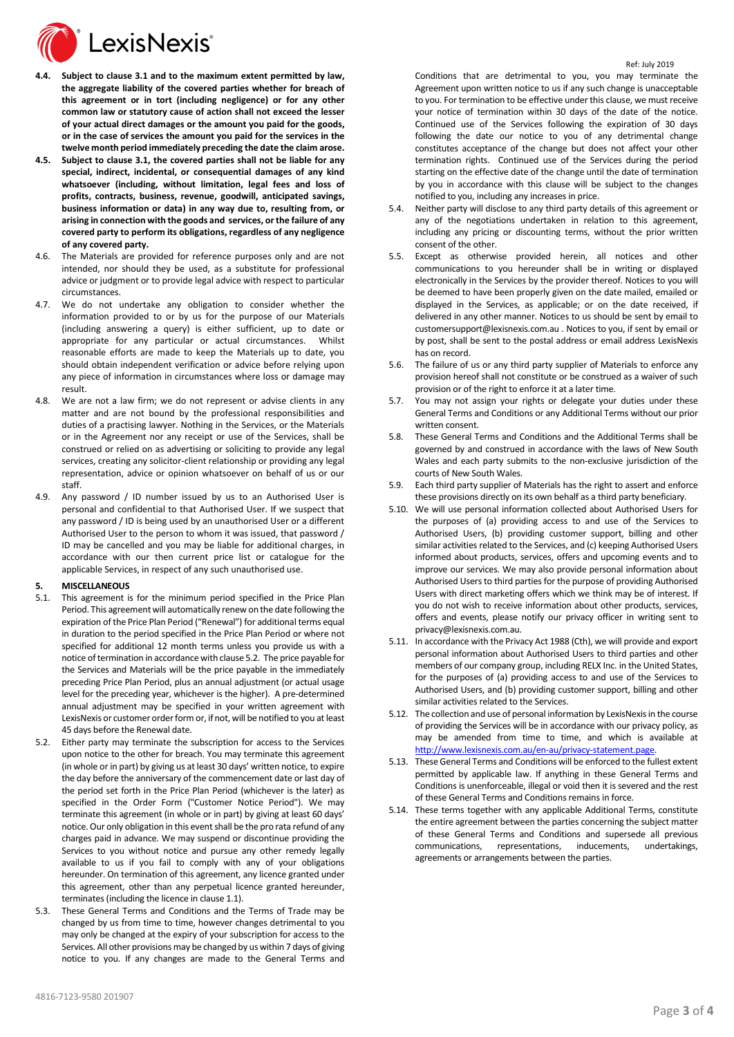

- **4.4. Subject to clause 3.1 and to the maximum extent permitted by law, the aggregate liability of the covered parties whether for breach of this agreement or in tort (including negligence) or for any other common law or statutory cause of action shall not exceed the lesser of your actual direct damages or the amount you paid for the goods, or in the case of services the amount you paid for the services in the twelve month period immediately preceding the date the claim arose.**
- **4.5. Subject to clause 3.1, the covered parties shall not be liable for any special, indirect, incidental, or consequential damages of any kind whatsoever (including, without limitation, legal fees and loss of profits, contracts, business, revenue, goodwill, anticipated savings, business information or data) in any way due to, resulting from, or arising in connection with the goods and services, or the failure of any covered party to perform its obligations, regardless of any negligence of any covered party.**
- 4.6. The Materials are provided for reference purposes only and are not intended, nor should they be used, as a substitute for professional advice or judgment or to provide legal advice with respect to particular circumstances.
- 4.7. We do not undertake any obligation to consider whether the information provided to or by us for the purpose of our Materials (including answering a query) is either sufficient, up to date or appropriate for any particular or actual circumstances. Whilst reasonable efforts are made to keep the Materials up to date, you should obtain independent verification or advice before relying upon any piece of information in circumstances where loss or damage may result.
- 4.8. We are not a law firm; we do not represent or advise clients in any matter and are not bound by the professional responsibilities and duties of a practising lawyer. Nothing in the Services, or the Materials or in the Agreement nor any receipt or use of the Services, shall be construed or relied on as advertising or soliciting to provide any legal services, creating any solicitor-client relationship or providing any legal representation, advice or opinion whatsoever on behalf of us or our staff.
- 4.9. Any password / ID number issued by us to an Authorised User is personal and confidential to that Authorised User. If we suspect that any password / ID is being used by an unauthorised User or a different Authorised User to the person to whom it was issued, that password / ID may be cancelled and you may be liable for additional charges, in accordance with our then current price list or catalogue for the applicable Services, in respect of any such unauthorised use.

### **5. MISCELLANEOUS**

- 5.1. This agreement is for the minimum period specified in the Price Plan Period. This agreement will automatically renew on the date following the expiration of the Price Plan Period ("Renewal") for additional terms equal in duration to the period specified in the Price Plan Period or where not specified for additional 12 month terms unless you provide us with a notice of termination in accordance with clause 5.2. The price payable for the Services and Materials will be the price payable in the immediately preceding Price Plan Period, plus an annual adjustment (or actual usage level for the preceding year, whichever is the higher). A pre-determined annual adjustment may be specified in your written agreement with LexisNexis or customer order form or, if not, will be notified to you at least 45 days before the Renewal date.
- 5.2. Either party may terminate the subscription for access to the Services upon notice to the other for breach. You may terminate this agreement (in whole or in part) by giving us at least 30 days' written notice, to expire the day before the anniversary of the commencement date or last day of the period set forth in the Price Plan Period (whichever is the later) as specified in the Order Form ("Customer Notice Period"). We may terminate this agreement (in whole or in part) by giving at least 60 days' notice. Our only obligation in this event shall be the pro rata refund of any charges paid in advance. We may suspend or discontinue providing the Services to you without notice and pursue any other remedy legally available to us if you fail to comply with any of your obligations hereunder. On termination of this agreement, any licence granted under this agreement, other than any perpetual licence granted hereunder, terminates (including the licence in clause 1.1).
- 5.3. These General Terms and Conditions and the Terms of Trade may be changed by us from time to time, however changes detrimental to you may only be changed at the expiry of your subscription for access to the Services. All other provisions may be changed by us within 7 days of giving notice to you. If any changes are made to the General Terms and

Conditions that are detrimental to you, you may terminate the Agreement upon written notice to us if any such change is unacceptable to you. For termination to be effective under this clause, we must receive your notice of termination within 30 days of the date of the notice. Continued use of the Services following the expiration of 30 days following the date our notice to you of any detrimental change constitutes acceptance of the change but does not affect your other termination rights. Continued use of the Services during the period starting on the effective date of the change until the date of termination by you in accordance with this clause will be subject to the changes notified to you, including any increases in price.

- 5.4. Neither party will disclose to any third party details of this agreement or any of the negotiations undertaken in relation to this agreement, including any pricing or discounting terms, without the prior written consent of the other.
- 5.5. Except as otherwise provided herein, all notices and other communications to you hereunder shall be in writing or displayed electronically in the Services by the provider thereof. Notices to you will be deemed to have been properly given on the date mailed, emailed or displayed in the Services, as applicable; or on the date received, if delivered in any other manner. Notices to us should be sent by email to customersupport@lexisnexis.com.au . Notices to you, if sent by email or by post, shall be sent to the postal address or email address LexisNexis has on record.
- 5.6. The failure of us or any third party supplier of Materials to enforce any provision hereof shall not constitute or be construed as a waiver of such provision or of the right to enforce it at a later time.
- 5.7. You may not assign your rights or delegate your duties under these General Terms and Conditions or any Additional Terms without our prior written consent.
- 5.8. These General Terms and Conditions and the Additional Terms shall be governed by and construed in accordance with the laws of New South Wales and each party submits to the non-exclusive jurisdiction of the courts of New South Wales.
- 5.9. Each third party supplier of Materials has the right to assert and enforce these provisions directly on its own behalf as a third party beneficiary.
- 5.10. We will use personal information collected about Authorised Users for the purposes of (a) providing access to and use of the Services to Authorised Users, (b) providing customer support, billing and other similar activities related to the Services, and (c) keeping Authorised Users informed about products, services, offers and upcoming events and to improve our services. We may also provide personal information about Authorised Users to third parties for the purpose of providing Authorised Users with direct marketing offers which we think may be of interest. If you do not wish to receive information about other products, services, offers and events, please notify our privacy officer in writing sent to [privacy@lexisnexis.com.au.](mailto:privacy@lexisnexis.com.au)
- 5.11. In accordance with the Privacy Act 1988 (Cth), we will provide and export personal information about Authorised Users to third parties and other members of our company group, including RELX Inc. in the United States, for the purposes of (a) providing access to and use of the Services to Authorised Users, and (b) providing customer support, billing and other similar activities related to the Services.
- 5.12. The collection and use of personal information by LexisNexis in the course of providing the Services will be in accordance with our privacy policy, as may be amended from time to time, and which is available at [http://www.lexisnexis.com.au/en-au/privacy-statement.page.](http://www.lexisnexis.com.au/en-au/privacy-statement.page)
- 5.13. These General Terms and Conditions will be enforced to the fullest extent permitted by applicable law. If anything in these General Terms and Conditions is unenforceable, illegal or void then it is severed and the rest of these General Terms and Conditions remains in force.
- 5.14. These terms together with any applicable Additional Terms, constitute the entire agreement between the parties concerning the subject matter of these General Terms and Conditions and supersede all previous communications, representations, inducements, undertakings, agreements or arrangements between the parties.